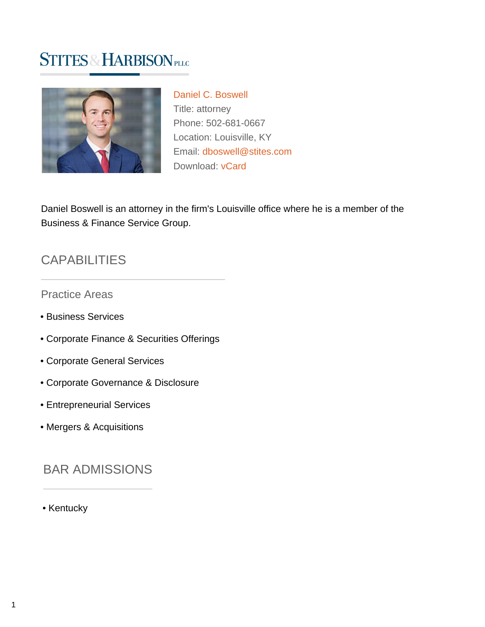# **STITES & HARBISON PLLC**



[Daniel C. Boswell](https://www.stites.com/attorneys/daniel-boswell) Title: attorney Phone: 502-681-0667 Location: Louisville, KY Email: [dboswell@stites.com](mailto:dboswell@stites.com) Download: [vCard](https://www.stites.com/vcard/daniel-boswell)

Daniel Boswell is an attorney in the firm's Louisville office where he is a member of the Business & Finance Service Group.

### **CAPABILITIES**

#### Practice Areas

- Business Services
- Corporate Finance & Securities Offerings
- Corporate General Services
- Corporate Governance & Disclosure
- Entrepreneurial Services
- Mergers & Acquisitions

#### BAR ADMISSIONS

• Kentucky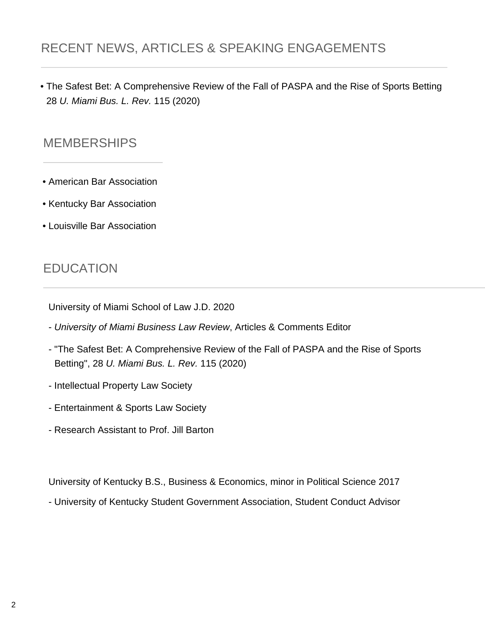## RECENT NEWS, ARTICLES & SPEAKING ENGAGEMENTS

• The Safest Bet: A Comprehensive Review of the Fall of PASPA and the Rise of Sports Betting 28 U. Miami Bus. L. Rev. 115 (2020)

#### **MEMBERSHIPS**

- American Bar Association
- Kentucky Bar Association
- Louisville Bar Association

### EDUCATION

University of Miami School of Law J.D. 2020

- University of Miami Business Law Review, Articles & Comments Editor
- "The Safest Bet: A Comprehensive Review of the Fall of PASPA and the Rise of Sports Betting", 28 U. Miami Bus. L. Rev. 115 (2020)
- Intellectual Property Law Society
- Entertainment & Sports Law Society
- Research Assistant to Prof. Jill Barton

University of Kentucky B.S., Business & Economics, minor in Political Science 2017

- University of Kentucky Student Government Association, Student Conduct Advisor